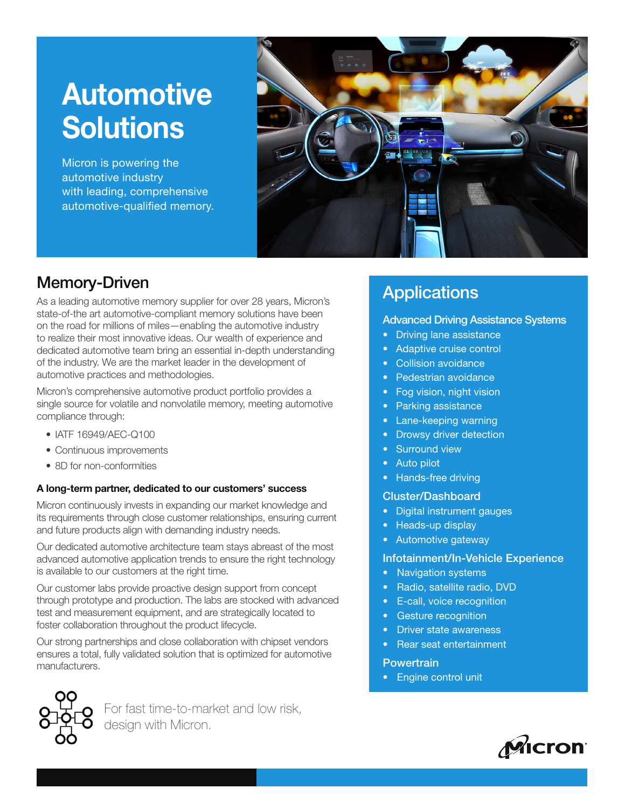# Automotive **Solutions**

Micron is powering the automotive industry with leading, comprehensive automotive-qualified memory.



# Memory-Driven

As a leading automotive memory supplier for over 28 years, Micron's state-of-the art automotive-compliant memory solutions have been on the road for millions of miles—enabling the automotive industry to realize their most innovative ideas. Our wealth of experience and dedicated automotive team bring an essential in-depth understanding of the industry. We are the market leader in the development of automotive practices and methodologies.

Micron's comprehensive automotive product portfolio provides a single source for volatile and nonvolatile memory, meeting automotive compliance through:

- IATF 16949/AEC-Q100
- Continuous improvements
- 8D for non-conformities

#### A long-term partner, dedicated to our customers' success

Micron continuously invests in expanding our market knowledge and its requirements through close customer relationships, ensuring current and future products align with demanding industry needs.

Our dedicated automotive architecture team stays abreast of the most advanced automotive application trends to ensure the right technology is available to our customers at the right time.

Our customer labs provide proactive design support from concept through prototype and production. The labs are stocked with advanced test and measurement equipment, and are strategically located to foster collaboration throughout the product lifecycle.

Our strong partnerships and close collaboration with chipset vendors ensures a total, fully validated solution that is optimized for automotive manufacturers.

For fast time-to-market and low risk, design with Micron.

# **Applications**

### Advanced Driving Assistance Systems

- Driving lane assistance
- Adaptive cruise control
- Collision avoidance
- Pedestrian avoidance
- Fog vision, night vision
- Parking assistance
- Lane-keeping warning
- Drowsy driver detection
- Surround view
- Auto pilot
- Hands-free driving

#### Cluster/Dashboard

- Digital instrument gauges
- Heads-up display
- Automotive gateway

#### Infotainment/In-Vehicle Experience

- Navigation systems
- Radio, satellite radio, DVD
- E-call, voice recognition
- Gesture recognition
- Driver state awareness
- Rear seat entertainment

#### **Powertrain**

• Engine control unit